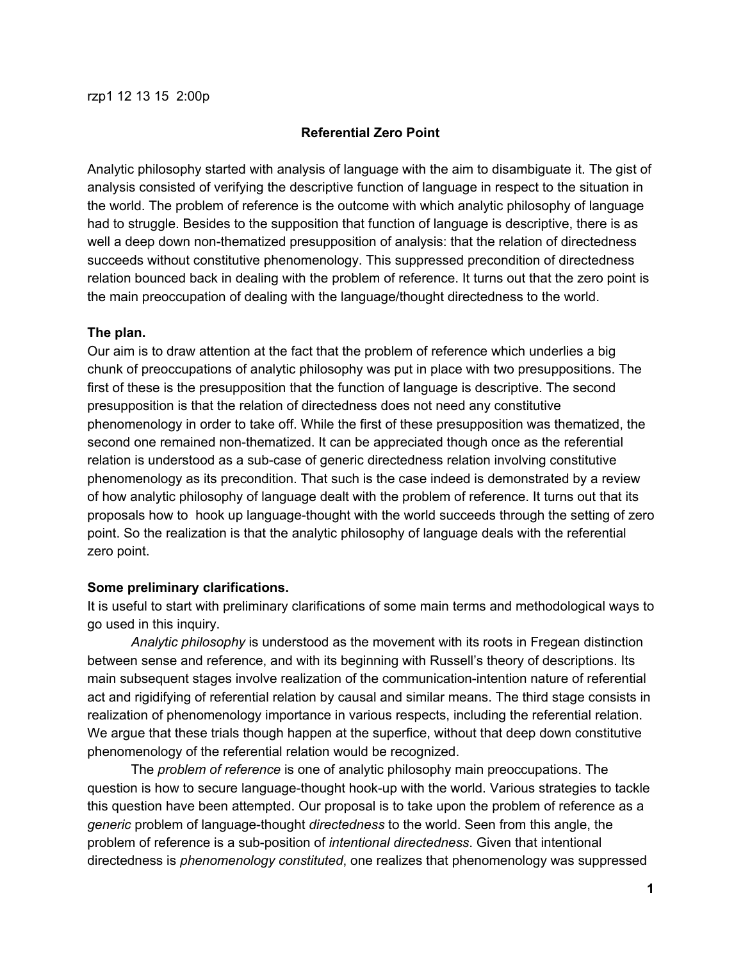## **Referential Zero Point**

Analytic philosophy started with analysis of language with the aim to disambiguate it. The gist of analysis consisted of verifying the descriptive function of language in respect to the situation in the world. The problem of reference is the outcome with which analytic philosophy of language had to struggle. Besides to the supposition that function of language is descriptive, there is as well a deep down non-thematized presupposition of analysis: that the relation of directedness succeeds without constitutive phenomenology. This suppressed precondition of directedness relation bounced back in dealing with the problem of reference. It turns out that the zero point is the main preoccupation of dealing with the language/thought directedness to the world.

### **The plan.**

Our aim is to draw attention at the fact that the problem of reference which underlies a big chunk of preoccupations of analytic philosophy was put in place with two presuppositions. The first of these is the presupposition that the function of language is descriptive. The second presupposition is that the relation of directedness does not need any constitutive phenomenology in order to take off. While the first of these presupposition was thematized, the second one remained non-thematized. It can be appreciated though once as the referential relation is understood as a sub-case of generic directedness relation involving constitutive phenomenology as its precondition. That such is the case indeed is demonstrated by a review of how analytic philosophy of language dealt with the problem of reference. It turns out that its proposals how to hook up language-thought with the world succeeds through the setting of zero point. So the realization is that the analytic philosophy of language deals with the referential zero point.

## **Some preliminary clarifications.**

It is useful to start with preliminary clarifications of some main terms and methodological ways to go used in this inquiry.

*Analytic philosophy* is understood as the movement with its roots in Fregean distinction between sense and reference, and with its beginning with Russell's theory of descriptions. Its main subsequent stages involve realization of the communication-intention nature of referential act and rigidifying of referential relation by causal and similar means. The third stage consists in realization of phenomenology importance in various respects, including the referential relation. We argue that these trials though happen at the superfice, without that deep down constitutive phenomenology of the referential relation would be recognized.

The *problem of reference* is one of analytic philosophy main preoccupations. The question is how to secure language-thought hook-up with the world. Various strategies to tackle this question have been attempted. Our proposal is to take upon the problem of reference as a *generic* problem of language-thought *directedness* to the world. Seen from this angle, the problem of reference is a sub-position of *intentional directedness*. Given that intentional directedness is *phenomenology constituted*, one realizes that phenomenology was suppressed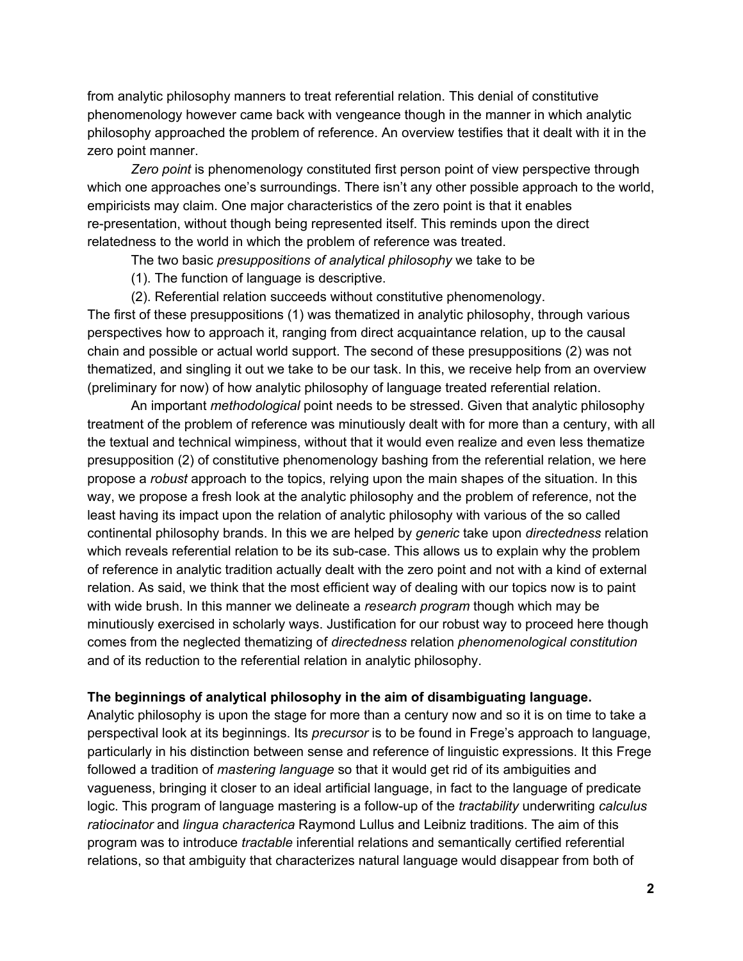from analytic philosophy manners to treat referential relation. This denial of constitutive phenomenology however came back with vengeance though in the manner in which analytic philosophy approached the problem of reference. An overview testifies that it dealt with it in the zero point manner.

*Zero point* is phenomenology constituted first person point of view perspective through which one approaches one's surroundings. There isn't any other possible approach to the world, empiricists may claim. One major characteristics of the zero point is that it enables re-presentation, without though being represented itself. This reminds upon the direct relatedness to the world in which the problem of reference was treated.

The two basic *presuppositions of analytical philosophy* we take to be

(1). The function of language is descriptive.

(2). Referential relation succeeds without constitutive phenomenology.

The first of these presuppositions (1) was thematized in analytic philosophy, through various perspectives how to approach it, ranging from direct acquaintance relation, up to the causal chain and possible or actual world support. The second of these presuppositions (2) was not thematized, and singling it out we take to be our task. In this, we receive help from an overview (preliminary for now) of how analytic philosophy of language treated referential relation.

An important *methodological* point needs to be stressed. Given that analytic philosophy treatment of the problem of reference was minutiously dealt with for more than a century, with all the textual and technical wimpiness, without that it would even realize and even less thematize presupposition (2) of constitutive phenomenology bashing from the referential relation, we here propose a *robust* approach to the topics, relying upon the main shapes of the situation. In this way, we propose a fresh look at the analytic philosophy and the problem of reference, not the least having its impact upon the relation of analytic philosophy with various of the so called continental philosophy brands. In this we are helped by *generic* take upon *directedness* relation which reveals referential relation to be its sub-case. This allows us to explain why the problem of reference in analytic tradition actually dealt with the zero point and not with a kind of external relation. As said, we think that the most efficient way of dealing with our topics now is to paint with wide brush. In this manner we delineate a *research program* though which may be minutiously exercised in scholarly ways. Justification for our robust way to proceed here though comes from the neglected thematizing of *directedness* relation *phenomenological constitution* and of its reduction to the referential relation in analytic philosophy.

#### **The beginnings of analytical philosophy in the aim of disambiguating language.**

Analytic philosophy is upon the stage for more than a century now and so it is on time to take a perspectival look at its beginnings. Its *precursor* is to be found in Frege's approach to language, particularly in his distinction between sense and reference of linguistic expressions. It this Frege followed a tradition of *mastering language* so that it would get rid of its ambiguities and vagueness, bringing it closer to an ideal artificial language, in fact to the language of predicate logic. This program of language mastering is a follow-up of the *tractability* underwriting *calculus ratiocinator* and *lingua characterica* Raymond Lullus and Leibniz traditions. The aim of this program was to introduce *tractable* inferential relations and semantically certified referential relations, so that ambiguity that characterizes natural language would disappear from both of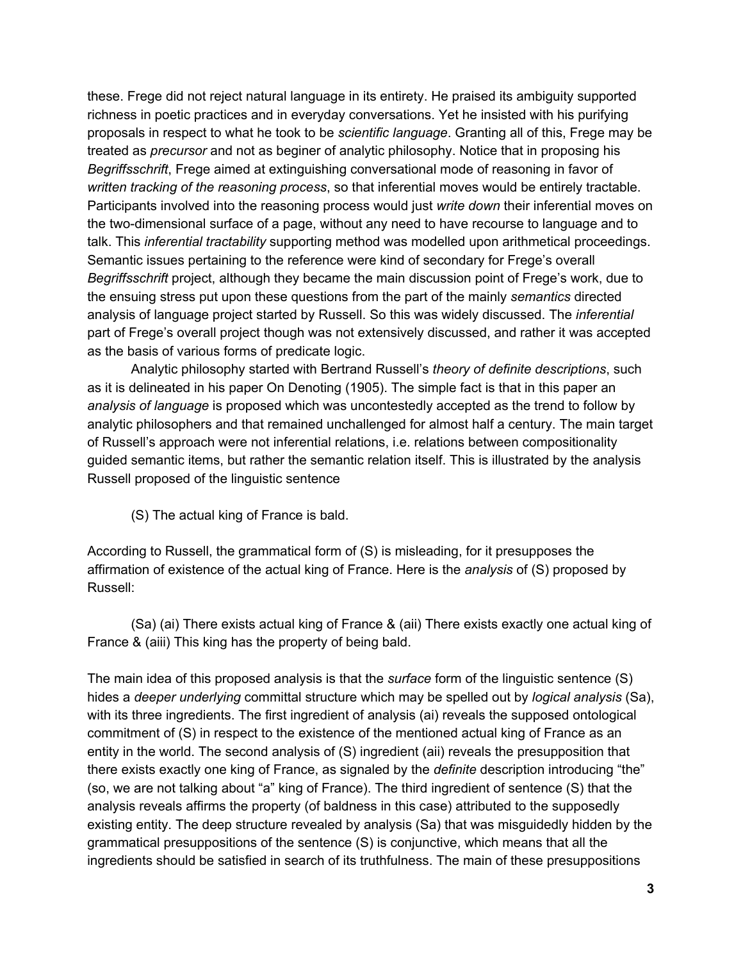these. Frege did not reject natural language in its entirety. He praised its ambiguity supported richness in poetic practices and in everyday conversations. Yet he insisted with his purifying proposals in respect to what he took to be *scientific language*. Granting all of this, Frege may be treated as *precursor* and not as beginer of analytic philosophy. Notice that in proposing his *Begriffsschrift*, Frege aimed at extinguishing conversational mode of reasoning in favor of *written tracking of the reasoning process*, so that inferential moves would be entirely tractable. Participants involved into the reasoning process would just *write down* their inferential moves on the two-dimensional surface of a page, without any need to have recourse to language and to talk. This *inferential tractability* supporting method was modelled upon arithmetical proceedings. Semantic issues pertaining to the reference were kind of secondary for Frege's overall *Begriffsschrift* project, although they became the main discussion point of Frege's work, due to the ensuing stress put upon these questions from the part of the mainly *semantics* directed analysis of language project started by Russell. So this was widely discussed. The *inferential* part of Frege's overall project though was not extensively discussed, and rather it was accepted as the basis of various forms of predicate logic.

Analytic philosophy started with Bertrand Russell's *theory of definite descriptions*, such as it is delineated in his paper On Denoting (1905). The simple fact is that in this paper an *analysis of language* is proposed which was uncontestedly accepted as the trend to follow by analytic philosophers and that remained unchallenged for almost half a century. The main target of Russell's approach were not inferential relations, i.e. relations between compositionality guided semantic items, but rather the semantic relation itself. This is illustrated by the analysis Russell proposed of the linguistic sentence

(S) The actual king of France is bald.

According to Russell, the grammatical form of (S) is misleading, for it presupposes the affirmation of existence of the actual king of France. Here is the *analysis* of (S) proposed by Russell:

(Sa) (ai) There exists actual king of France & (aii) There exists exactly one actual king of France & (aiii) This king has the property of being bald.

The main idea of this proposed analysis is that the *surface* form of the linguistic sentence (S) hides a *deeper underlying* committal structure which may be spelled out by *logical analysis* (Sa), with its three ingredients. The first ingredient of analysis (ai) reveals the supposed ontological commitment of (S) in respect to the existence of the mentioned actual king of France as an entity in the world. The second analysis of (S) ingredient (aii) reveals the presupposition that there exists exactly one king of France, as signaled by the *definite* description introducing "the" (so, we are not talking about "a" king of France). The third ingredient of sentence (S) that the analysis reveals affirms the property (of baldness in this case) attributed to the supposedly existing entity. The deep structure revealed by analysis (Sa) that was misguidedly hidden by the grammatical presuppositions of the sentence (S) is conjunctive, which means that all the ingredients should be satisfied in search of its truthfulness. The main of these presuppositions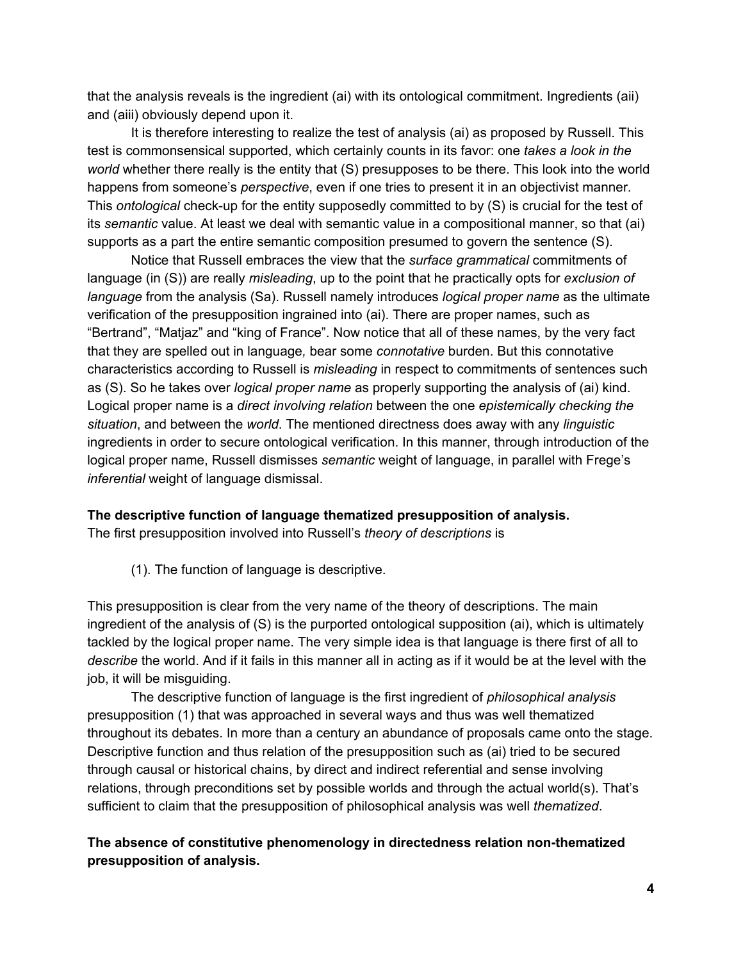that the analysis reveals is the ingredient (ai) with its ontological commitment. Ingredients (aii) and (aiii) obviously depend upon it.

It is therefore interesting to realize the test of analysis (ai) as proposed by Russell. This test is commonsensical supported, which certainly counts in its favor: one *takes a look in the world* whether there really is the entity that (S) presupposes to be there. This look into the world happens from someone's *perspective*, even if one tries to present it in an objectivist manner. This *ontological* check-up for the entity supposedly committed to by (S) is crucial for the test of its *semantic* value. At least we deal with semantic value in a compositional manner, so that (ai) supports as a part the entire semantic composition presumed to govern the sentence (S).

Notice that Russell embraces the view that the *surface grammatical* commitments of language (in (S)) are really *misleading*, up to the point that he practically opts for *exclusion of language* from the analysis (Sa). Russell namely introduces *logical proper name* as the ultimate verification of the presupposition ingrained into (ai). There are proper names, such as "Bertrand", "Matjaz" and "king of France". Now notice that all of these names, by the very fact that they are spelled out in language*,* bear some *connotative* burden. But this connotative characteristics according to Russell is *misleading* in respect to commitments of sentences such as (S). So he takes over *logical proper name* as properly supporting the analysis of (ai) kind. Logical proper name is a *direct involving relation* between the one *epistemically checking the situation*, and between the *world*. The mentioned directness does away with any *linguistic* ingredients in order to secure ontological verification. In this manner, through introduction of the logical proper name, Russell dismisses *semantic* weight of language, in parallel with Frege's *inferential* weight of language dismissal.

#### **The descriptive function of language thematized presupposition of analysis.**

The first presupposition involved into Russell's *theory of descriptions* is

(1). The function of language is descriptive.

This presupposition is clear from the very name of the theory of descriptions. The main ingredient of the analysis of (S) is the purported ontological supposition (ai), which is ultimately tackled by the logical proper name. The very simple idea is that language is there first of all to *describe* the world. And if it fails in this manner all in acting as if it would be at the level with the job, it will be misguiding.

The descriptive function of language is the first ingredient of *philosophical analysis* presupposition (1) that was approached in several ways and thus was well thematized throughout its debates. In more than a century an abundance of proposals came onto the stage. Descriptive function and thus relation of the presupposition such as (ai) tried to be secured through causal or historical chains, by direct and indirect referential and sense involving relations, through preconditions set by possible worlds and through the actual world(s). That's sufficient to claim that the presupposition of philosophical analysis was well *thematized*.

# **The absence of constitutive phenomenology in directedness relation nonthematized presupposition of analysis.**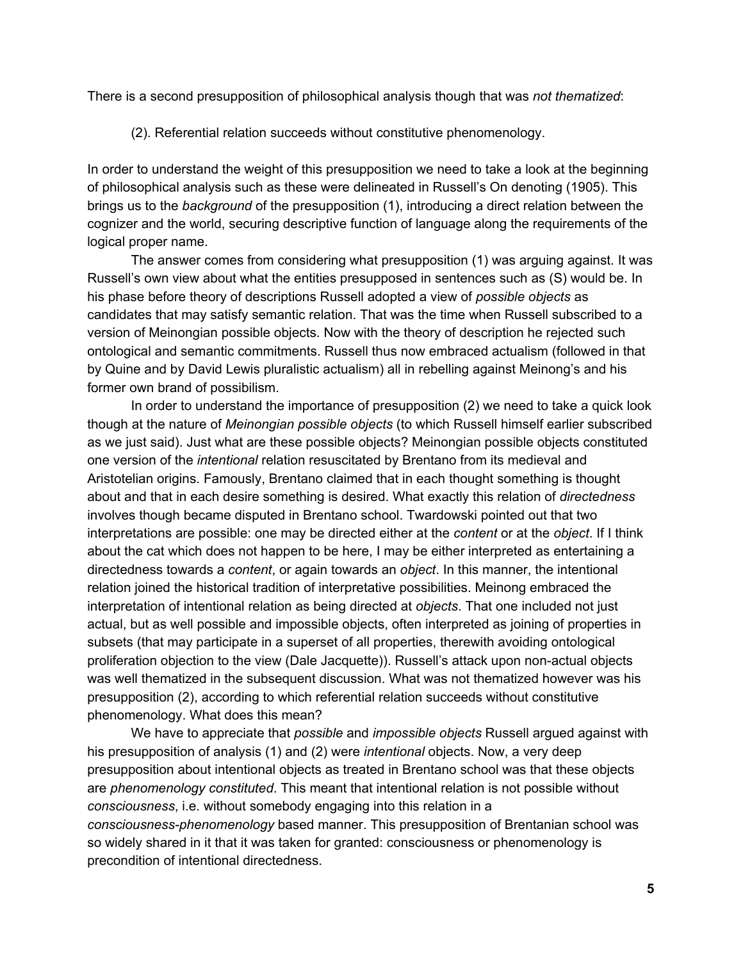There is a second presupposition of philosophical analysis though that was *not thematized*:

(2). Referential relation succeeds without constitutive phenomenology.

In order to understand the weight of this presupposition we need to take a look at the beginning of philosophical analysis such as these were delineated in Russell's On denoting (1905). This brings us to the *background* of the presupposition (1), introducing a direct relation between the cognizer and the world, securing descriptive function of language along the requirements of the logical proper name.

The answer comes from considering what presupposition (1) was arguing against. It was Russell's own view about what the entities presupposed in sentences such as (S) would be. In his phase before theory of descriptions Russell adopted a view of *possible objects* as candidates that may satisfy semantic relation. That was the time when Russell subscribed to a version of Meinongian possible objects. Now with the theory of description he rejected such ontological and semantic commitments. Russell thus now embraced actualism (followed in that by Quine and by David Lewis pluralistic actualism) all in rebelling against Meinong's and his former own brand of possibilism.

In order to understand the importance of presupposition (2) we need to take a quick look though at the nature of *Meinongian possible objects* (to which Russell himself earlier subscribed as we just said). Just what are these possible objects? Meinongian possible objects constituted one version of the *intentional* relation resuscitated by Brentano from its medieval and Aristotelian origins. Famously, Brentano claimed that in each thought something is thought about and that in each desire something is desired. What exactly this relation of *directedness* involves though became disputed in Brentano school. Twardowski pointed out that two interpretations are possible: one may be directed either at the *content* or at the *object*. If I think about the cat which does not happen to be here, I may be either interpreted as entertaining a directedness towards a *content*, or again towards an *object*. In this manner, the intentional relation joined the historical tradition of interpretative possibilities. Meinong embraced the interpretation of intentional relation as being directed at *objects*. That one included not just actual, but as well possible and impossible objects, often interpreted as joining of properties in subsets (that may participate in a superset of all properties, therewith avoiding ontological proliferation objection to the view (Dale Jacquette)). Russell's attack upon non-actual objects was well thematized in the subsequent discussion. What was not thematized however was his presupposition (2), according to which referential relation succeeds without constitutive phenomenology. What does this mean?

We have to appreciate that *possible* and *impossible objects* Russell argued against with his presupposition of analysis (1) and (2) were *intentional* objects. Now, a very deep presupposition about intentional objects as treated in Brentano school was that these objects are *phenomenology constituted*. This meant that intentional relation is not possible without *consciousness*, i.e. without somebody engaging into this relation in a *consciousnessphenomenology* based manner. This presupposition of Brentanian school was so widely shared in it that it was taken for granted: consciousness or phenomenology is precondition of intentional directedness.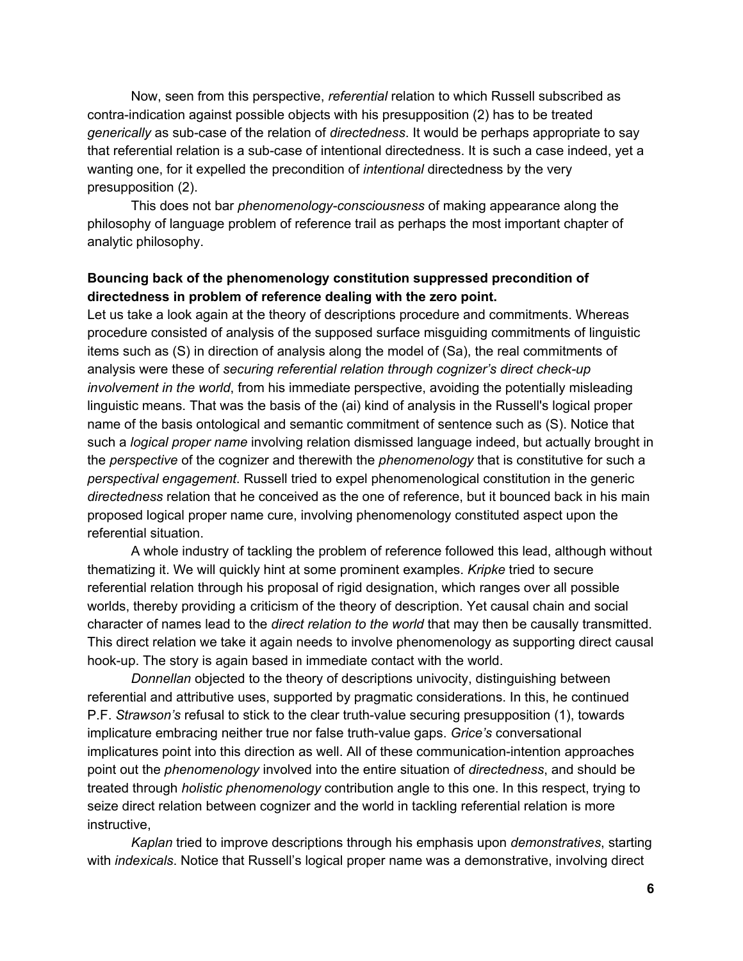Now, seen from this perspective, *referential* relation to which Russell subscribed as contra-indication against possible objects with his presupposition (2) has to be treated *generically* as sub-case of the relation of *directedness*. It would be perhaps appropriate to say that referential relation is a sub-case of intentional directedness. It is such a case indeed, yet a wanting one, for it expelled the precondition of *intentional* directedness by the very presupposition (2).

This does not bar *phenomenologyconsciousness* of making appearance along the philosophy of language problem of reference trail as perhaps the most important chapter of analytic philosophy.

### **Bouncing back of the phenomenology constitution suppressed precondition of directedness in problem of reference dealing with the zero point.**

Let us take a look again at the theory of descriptions procedure and commitments. Whereas procedure consisted of analysis of the supposed surface misguiding commitments of linguistic items such as (S) in direction of analysis along the model of (Sa), the real commitments of analysis were these of *securing referential relation through cognizer's direct checkup involvement in the world*, from his immediate perspective, avoiding the potentially misleading linguistic means. That was the basis of the (ai) kind of analysis in the Russell's logical proper name of the basis ontological and semantic commitment of sentence such as (S). Notice that such a *logical proper name* involving relation dismissed language indeed, but actually brought in the *perspective* of the cognizer and therewith the *phenomenology* that is constitutive for such a *perspectival engagement*. Russell tried to expel phenomenological constitution in the generic *directedness* relation that he conceived as the one of reference, but it bounced back in his main proposed logical proper name cure, involving phenomenology constituted aspect upon the referential situation.

A whole industry of tackling the problem of reference followed this lead, although without thematizing it. We will quickly hint at some prominent examples. *Kripke* tried to secure referential relation through his proposal of rigid designation, which ranges over all possible worlds, thereby providing a criticism of the theory of description. Yet causal chain and social character of names lead to the *direct relation to the world* that may then be causally transmitted. This direct relation we take it again needs to involve phenomenology as supporting direct causal hook-up. The story is again based in immediate contact with the world.

*Donnellan* objected to the theory of descriptions univocity, distinguishing between referential and attributive uses, supported by pragmatic considerations. In this, he continued P.F. *Strawson's* refusal to stick to the clear truth-value securing presupposition (1), towards implicature embracing neither true nor false truth-value gaps. *Grice's* conversational implicatures point into this direction as well. All of these communication-intention approaches point out the *phenomenology* involved into the entire situation of *directedness*, and should be treated through *holistic phenomenology* contribution angle to this one. In this respect, trying to seize direct relation between cognizer and the world in tackling referential relation is more instructive,

*Kaplan* tried to improve descriptions through his emphasis upon *demonstratives*, starting with *indexicals*. Notice that Russell's logical proper name was a demonstrative, involving direct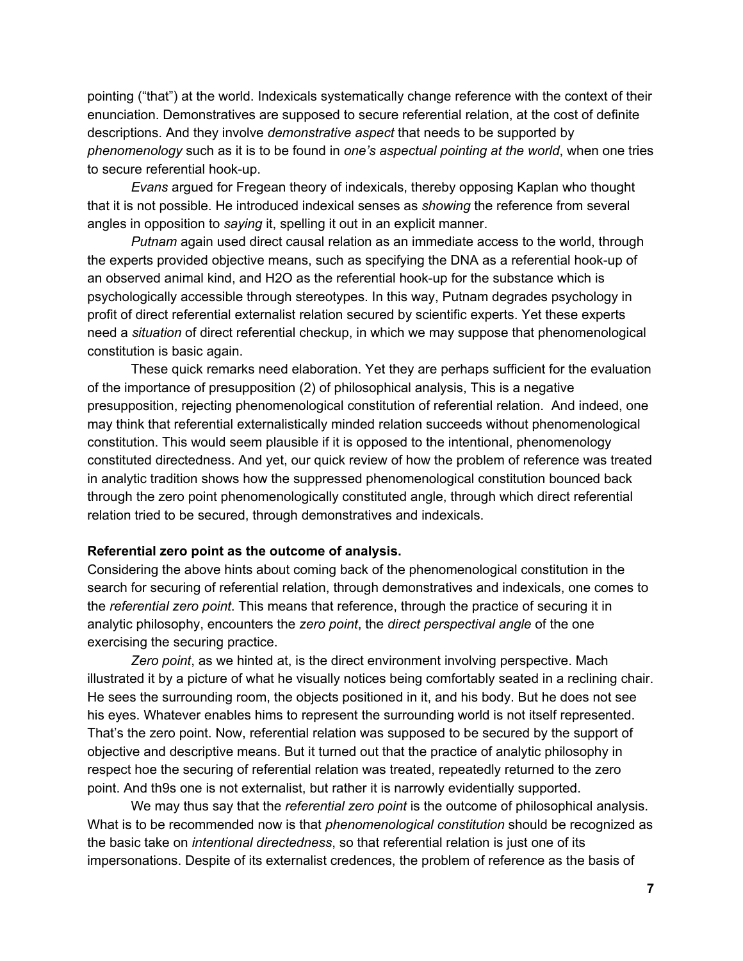pointing ("that") at the world. Indexicals systematically change reference with the context of their enunciation. Demonstratives are supposed to secure referential relation, at the cost of definite descriptions. And they involve *demonstrative aspect* that needs to be supported by *phenomenology* such as it is to be found in *one's aspectual pointing at the world*, when one tries to secure referential hook-up.

*Evans* argued for Fregean theory of indexicals, thereby opposing Kaplan who thought that it is not possible. He introduced indexical senses as *showing* the reference from several angles in opposition to *saying* it, spelling it out in an explicit manner.

*Putnam* again used direct causal relation as an immediate access to the world, through the experts provided objective means, such as specifying the DNA as a referential hook-up of an observed animal kind, and H2O as the referential hook-up for the substance which is psychologically accessible through stereotypes. In this way, Putnam degrades psychology in profit of direct referential externalist relation secured by scientific experts. Yet these experts need a *situation* of direct referential checkup, in which we may suppose that phenomenological constitution is basic again.

These quick remarks need elaboration. Yet they are perhaps sufficient for the evaluation of the importance of presupposition (2) of philosophical analysis, This is a negative presupposition, rejecting phenomenological constitution of referential relation. And indeed, one may think that referential externalistically minded relation succeeds without phenomenological constitution. This would seem plausible if it is opposed to the intentional, phenomenology constituted directedness. And yet, our quick review of how the problem of reference was treated in analytic tradition shows how the suppressed phenomenological constitution bounced back through the zero point phenomenologically constituted angle, through which direct referential relation tried to be secured, through demonstratives and indexicals.

#### **Referential zero point as the outcome of analysis.**

Considering the above hints about coming back of the phenomenological constitution in the search for securing of referential relation, through demonstratives and indexicals, one comes to the *referential zero point*. This means that reference, through the practice of securing it in analytic philosophy, encounters the *zero point*, the *direct perspectival angle* of the one exercising the securing practice.

*Zero point*, as we hinted at, is the direct environment involving perspective. Mach illustrated it by a picture of what he visually notices being comfortably seated in a reclining chair. He sees the surrounding room, the objects positioned in it, and his body. But he does not see his eyes. Whatever enables hims to represent the surrounding world is not itself represented. That's the zero point. Now, referential relation was supposed to be secured by the support of objective and descriptive means. But it turned out that the practice of analytic philosophy in respect hoe the securing of referential relation was treated, repeatedly returned to the zero point. And th9s one is not externalist, but rather it is narrowly evidentially supported.

We may thus say that the *referential zero point* is the outcome of philosophical analysis. What is to be recommended now is that *phenomenological constitution* should be recognized as the basic take on *intentional directedness*, so that referential relation is just one of its impersonations. Despite of its externalist credences, the problem of reference as the basis of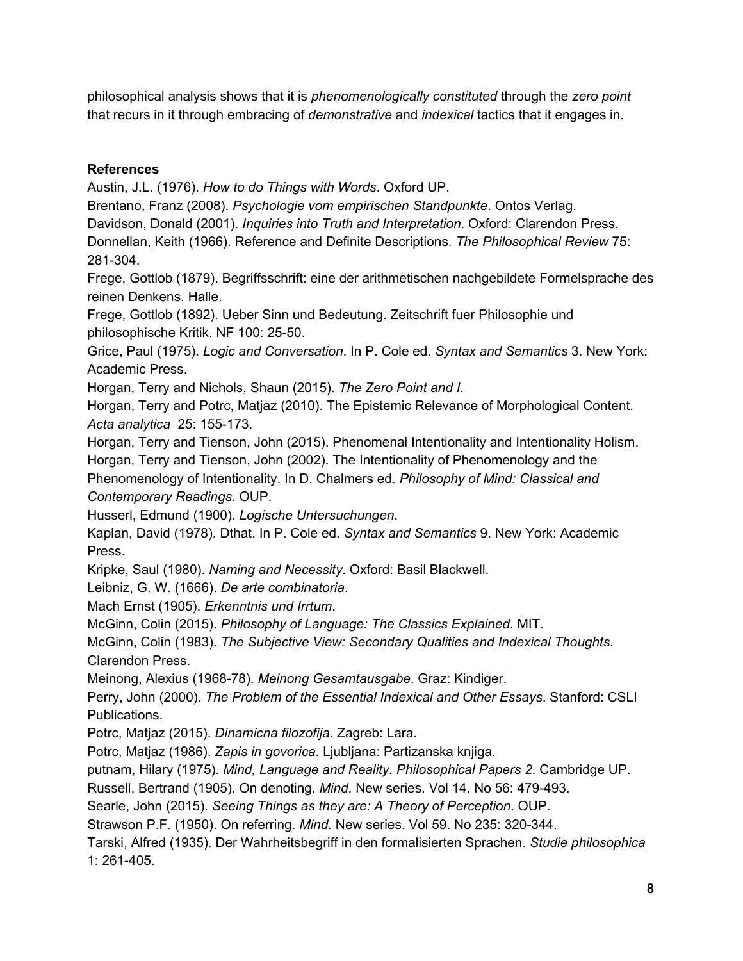philosophical analysis shows that it is *phenomenologically constituted* through the *zero point* that recurs in it through embracing of *demonstrative* and *indexical* tactics that it engages in.

# **References**

Austin, J.L. (1976). *How to do Things with Words*. Oxford UP.

Brentano, Franz (2008). *Psychologie vom empirischen Standpunkte*. Ontos Verlag.

Davidson, Donald (2001). *Inquiries into Truth and Interpretation*. Oxford: Clarendon Press.

Donnellan, Keith (1966). Reference and Definite Descriptions. *The Philosophical Review* 75: 281-304.

Frege, Gottlob (1879). Begriffsschrift: eine der arithmetischen nachgebildete Formelsprache des reinen Denkens. Halle.

Frege, Gottlob (1892). Ueber Sinn und Bedeutung. Zeitschrift fuer Philosophie und philosophische Kritik. NF 100: 25-50.

Grice, Paul (1975). *Logic and Conversation*. In P. Cole ed. *Syntax and Semantics* 3. New York: Academic Press.

Horgan, Terry and Nichols, Shaun (2015). *The Zero Point and I.*

Horgan, Terry and Potrc, Matjaz (2010). The Epistemic Relevance of Morphological Content. *Acta analytica* 25: 155-173.

Horgan, Terry and Tienson, John (2015). Phenomenal Intentionality and Intentionality Holism.

Horgan, Terry and Tienson, John (2002). The Intentionality of Phenomenology and the Phenomenology of Intentionality. In D. Chalmers ed. *Philosophy of Mind: Classical and Contemporary Readings*. OUP.

Husserl, Edmund (1900). *Logische Untersuchungen*.

Kaplan, David (1978). Dthat. In P. Cole ed. *Syntax and Semantics* 9. New York: Academic Press.

Kripke, Saul (1980). *Naming and Necessity*. Oxford: Basil Blackwell.

Leibniz, G. W. (1666). *De arte combinatoria*.

Mach Ernst (1905). *Erkenntnis und Irrtum*.

McGinn, Colin (2015). *Philosophy of Language: The Classics Explained*. MIT.

McGinn, Colin (1983). *The Subjective View: Secondary Qualities and Indexical Thoughts*. Clarendon Press.

Meinong, Alexius (196878). *Meinong Gesamtausgabe*. Graz: Kindiger.

Perry, John (2000). *The Problem of the Essential Indexical and Other Essays*. Stanford: CSLI Publications.

Potrc, Matjaz (2015). *Dinamicna filozofija*. Zagreb: Lara.

Potrc, Matjaz (1986). *Zapis in govorica*. Ljubljana: Partizanska knjiga.

putnam, Hilary (1975). *Mind, Language and Reality. Philosophical Papers 2*. Cambridge UP.

Russell, Bertrand (1905). On denoting. *Mind*. New series. Vol 14. No 56: 479493.

Searle, John (2015). *Seeing Things as they are: A Theory of Perception*. OUP.

Strawson P.F. (1950). On referring. Mind. New series. Vol 59. No 235: 320-344.

Tarski, Alfred (1935). Der Wahrheitsbegriff in den formalisierten Sprachen. *Studie philosophica* 1: 261405.